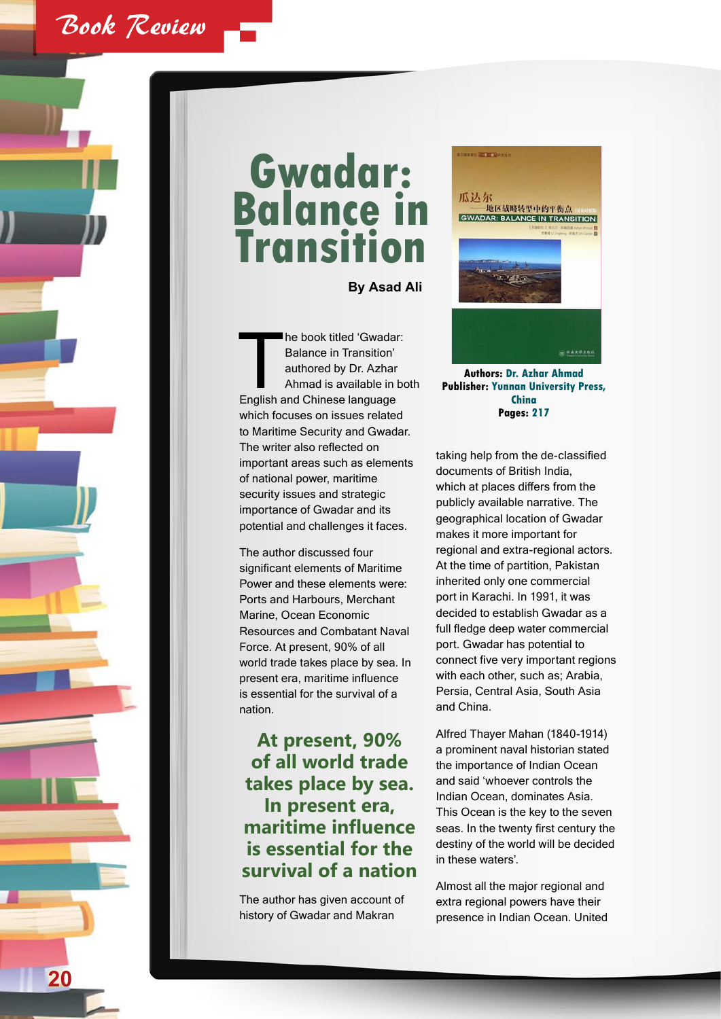

## **Gwadar: Balance in Transition**

**By Asad Ali**

The book titled 'Gwadar:<br>
Balance in Transition'<br>
authored by Dr. Azhar<br>
Ahmad is available in bo<br>
English and Chinese language Balance in Transition' authored by Dr. Azhar Ahmad is available in both which focuses on issues related to Maritime Security and Gwadar. The writer also reflected on important areas such as elements of national power, maritime security issues and strategic importance of Gwadar and its potential and challenges it faces.

The author discussed four significant elements of Maritime Power and these elements were: Ports and Harbours, Merchant Marine, Ocean Economic Resources and Combatant Naval Force. At present, 90% of all world trade takes place by sea. In present era, maritime influence is essential for the survival of a nation.

## **At present, 90% of all world trade takes place by sea. In present era, maritime influence is essential for the survival of a nation**

The author has given account of history of Gwadar and Makran



**Authors: Dr. Azhar Ahmad Publisher: Yunnan University Press, China Pages: 217**

taking help from the de-classified documents of British India, which at places differs from the publicly available narrative. The geographical location of Gwadar makes it more important for regional and extra-regional actors. At the time of partition, Pakistan inherited only one commercial port in Karachi. In 1991, it was decided to establish Gwadar as a full fledge deep water commercial port. Gwadar has potential to connect five very important regions with each other, such as; Arabia, Persia, Central Asia, South Asia and China.

Alfred Thayer Mahan (1840-1914) a prominent naval historian stated the importance of Indian Ocean and said 'whoever controls the Indian Ocean, dominates Asia. This Ocean is the key to the seven seas. In the twenty first century the destiny of the world will be decided in these waters'.

Almost all the major regional and extra regional powers have their presence in Indian Ocean. United

**20**